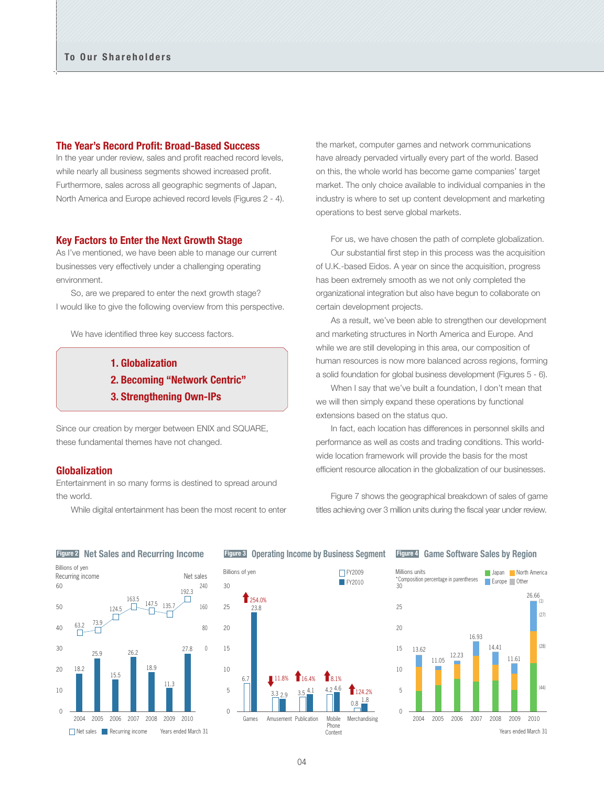## **The Year's Record Profit: Broad-Based Success**

In the year under review, sales and profit reached record levels. while nearly all business segments showed increased profit. Furthermore, sales across all geographic segments of Japan, North America and Europe achieved record levels (Figures 2 - 4).

### **Key Factors to Enter the Next Growth Stage**

As I've mentioned, we have been able to manage our current businesses very effectively under a challenging operating environment.

 So, are we prepared to enter the next growth stage? I would like to give the following overview from this perspective.

We have identified three key success factors.

- **1. Globalization**
- **2. Becoming "Network Centric"**
- **3. Strengthening Own-IPs**

Since our creation by merger between ENIX and SQUARE, these fundamental themes have not changed.

## **Globalization**

Entertainment in so many forms is destined to spread around the world.

While digital entertainment has been the most recent to enter

the market, computer games and network communications have already pervaded virtually every part of the world. Based on this, the whole world has become game companies' target market. The only choice available to individual companies in the industry is where to set up content development and marketing operations to best serve global markets.

 For us, we have chosen the path of complete globalization. Our substantial first step in this process was the acquisition of U.K.-based Eidos. A year on since the acquisition, progress has been extremely smooth as we not only completed the organizational integration but also have begun to collaborate on certain development projects.

 As a result, we've been able to strengthen our development and marketing structures in North America and Europe. And while we are still developing in this area, our composition of human resources is now more balanced across regions, forming a solid foundation for global business development (Figures 5 - 6).

 When I say that we've built a foundation, I don't mean that we will then simply expand these operations by functional extensions based on the status quo.

 In fact, each location has differences in personnel skills and performance as well as costs and trading conditions. This worldwide location framework will provide the basis for the most efficient resource allocation in the globalization of our businesses.

 Figure 7 shows the geographical breakdown of sales of game titles achieving over 3 million units during the fiscal year under review.



# **Figure 3 Operating Income by Business Segment**



## **Figure 4 Game Software Sales by Region**

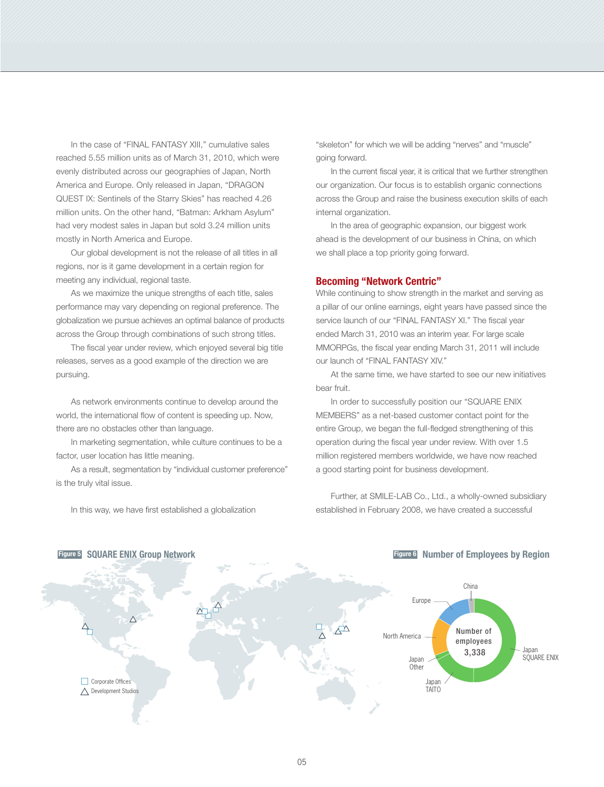In the case of "FINAL FANTASY XIII," cumulative sales reached 5.55 million units as of March 31, 2010, which were evenly distributed across our geographies of Japan, North America and Europe. Only released in Japan, "DRAGON QUEST IX: Sentinels of the Starry Skies" has reached 4.26 million units. On the other hand, "Batman: Arkham Asylum" had very modest sales in Japan but sold 3.24 million units mostly in North America and Europe.

 Our global development is not the release of all titles in all regions, nor is it game development in a certain region for meeting any individual, regional taste.

 As we maximize the unique strengths of each title, sales performance may vary depending on regional preference. The globalization we pursue achieves an optimal balance of products across the Group through combinations of such strong titles.

 The fiscal year under review, which enjoyed several big title releases, serves as a good example of the direction we are pursuing.

 As network environments continue to develop around the world, the international flow of content is speeding up. Now, there are no obstacles other than language.

 In marketing segmentation, while culture continues to be a factor, user location has little meaning.

 As a result, segmentation by "individual customer preference" is the truly vital issue.

In this way, we have first established a globalization

**Figure 5 SQUARE ENIX Group Network**

"skeleton" for which we will be adding "nerves" and "muscle" going forward.

 In the current fiscal year, it is critical that we further strengthen our organization. Our focus is to establish organic connections across the Group and raise the business execution skills of each internal organization.

 In the area of geographic expansion, our biggest work ahead is the development of our business in China, on which we shall place a top priority going forward.

## **Becoming "Network Centric"**

While continuing to show strength in the market and serving as a pillar of our online earnings, eight years have passed since the service launch of our "FINAL FANTASY XI." The fiscal year ended March 31, 2010 was an interim year. For large scale MMORPGs, the fiscal year ending March 31, 2011 will include our launch of "FINAL FANTASY XIV."

 At the same time, we have started to see our new initiatives bear fruit.

In order to successfully position our "SQUARE ENIX MEMBERS" as a net-based customer contact point for the entire Group, we began the full-fledged strengthening of this operation during the fiscal year under review. With over 1.5 million registered members worldwide, we have now reached a good starting point for business development.

 Further, at SMILE-LAB Co., Ltd., a wholly-owned subsidiary established in February 2008, we have created a successful



### **Figure 6 Number of Employees by Region**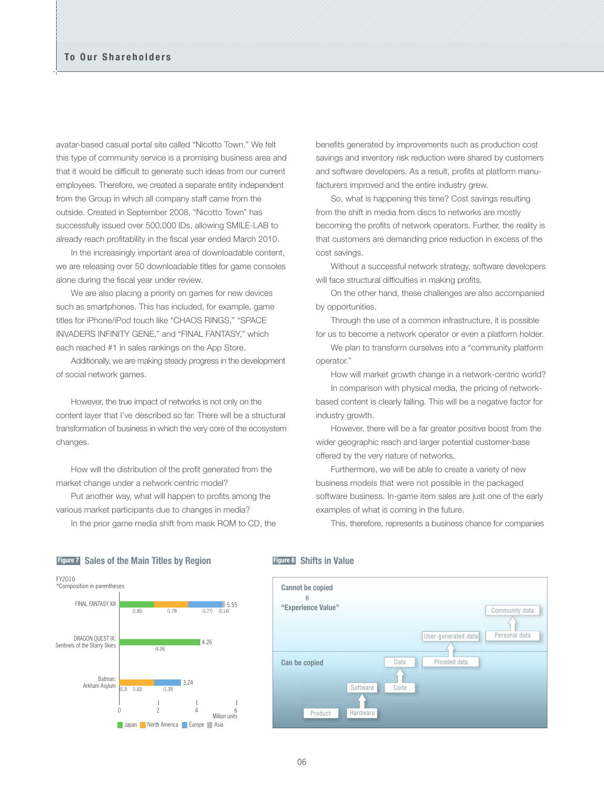avatar-based casual portal site called "Nicotto Town." We felt this type of community service is a promising business area and that it would be difficult to generate such ideas from our current employees. Therefore, we created a separate entity independent from the Group in which all company staff came from the outside. Created in September 2008, "Nicotto Town" has successfully issued over 500,000 IDs, allowing SMILE-LAB to already reach profitability in the fiscal year ended March 2010.

 In the increasingly important area of downloadable content, we are releasing over 50 downloadable titles for game consoles alone during the fiscal year under review.

 We are also placing a priority on games for new devices such as smartphones. This has included, for example, game titles for iPhone/iPod touch like "CHAOS RINGS," "SPACE INVADERS INFINITY GENE," and "FINAL FANTASY," which each reached #1 in sales rankings on the App Store.

 Additionally, we are making steady progress in the development of social network games.

 However, the true impact of networks is not only on the content layer that I've described so far. There will be a structural transformation of business in which the very core of the ecosystem changes.

 How will the distribution of the profit generated from the market change under a network centric model?

 Put another way, what will happen to profits among the various market participants due to changes in media?

In the prior game media shift from mask ROM to CD, the

benefits generated by improvements such as production cost savings and inventory risk reduction were shared by customers and software developers. As a result, profits at platform manufacturers improved and the entire industry grew.

 So, what is happening this time? Cost savings resulting from the shift in media from discs to networks are mostly becoming the profits of network operators. Further, the reality is that customers are demanding price reduction in excess of the cost savings.

 Without a successful network strategy, software developers will face structural difficulties in making profits.

 On the other hand, these challenges are also accompanied by opportunities.

 Through the use of a common infrastructure, it is possible for us to become a network operator or even a platform holder.

 We plan to transform ourselves into a "community platform operator."

How will market growth change in a network-centric world?

 In comparison with physical media, the pricing of networkbased content is clearly falling. This will be a negative factor for industry growth.

 However, there will be a far greater positive boost from the wider geographic reach and larger potential customer-base offered by the very nature of networks.

 Furthermore, we will be able to create a variety of new business models that were not possible in the packaged software business. In-game item sales are just one of the early examples of what is coming in the future.

This, therefore, represents a business chance for companies

#### **Figure 7 Sales of the Main Titles by Region**



### **Figure 8 Shifts in Value**